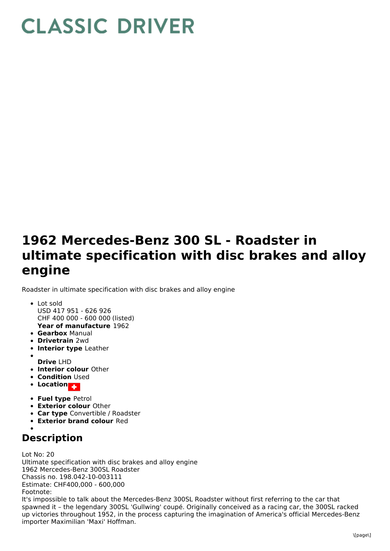## **CLASSIC DRIVER**

## **1962 Mercedes-Benz 300 SL - Roadster in ultimate specification with disc brakes and alloy engine**

Roadster in ultimate specification with disc brakes and alloy engine

- **Year of manufacture** 1962 • Lot sold USD 417 951 - 626 926 CHF 400 000 - 600 000 (listed)
- **Gearbox** Manual
- **Drivetrain** 2wd
- **Interior type** Leather
- **Drive** LHD
- **Interior colour** Other
- **Condition Used**
- **•** Location
- 
- **Fuel type** Petrol **Exterior colour** Other
- **Car type** Convertible / Roadster
- **Exterior brand colour** Red
- 

## **Description**

Lot No: 20 Ultimate specification with disc brakes and alloy engine 1962 Mercedes-Benz 300SL Roadster Chassis no. 198.042-10-003111 Estimate: CHF400,000 - 600,000 Footnote:

It's impossible to talk about the Mercedes-Benz 300SL Roadster without first referring to the car that spawned it – the legendary 300SL 'Gullwing' coupé. Originally conceived as a racing car, the 300SL racked up victories throughout 1952, in the process capturing the imagination of America's official Mercedes-Benz importer Maximilian 'Maxi' Hoffman.